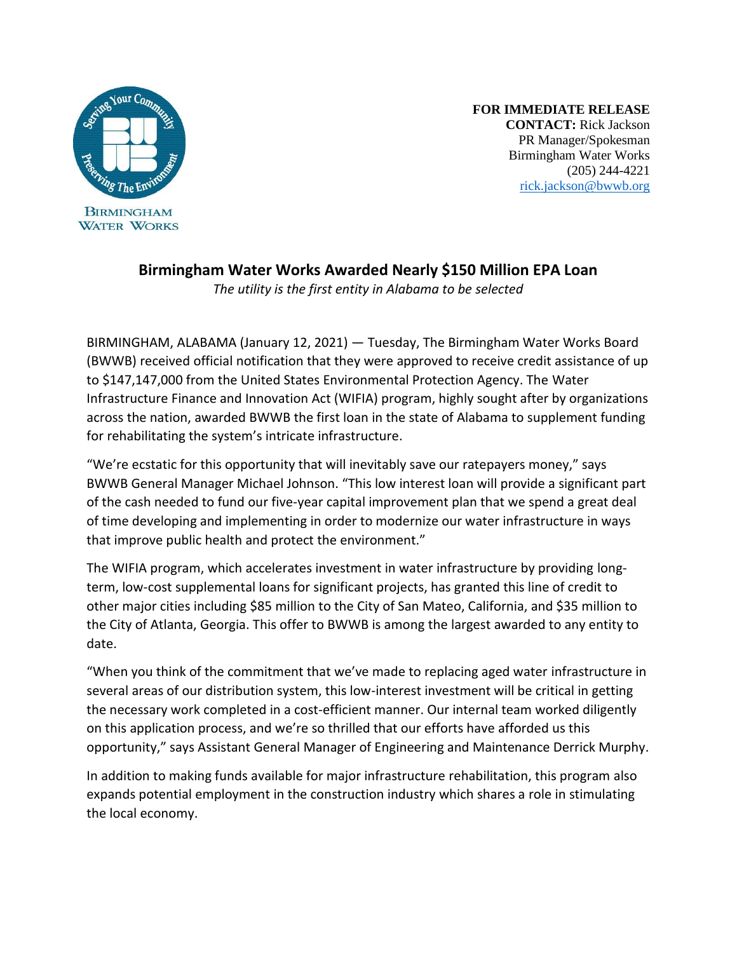

**FOR IMMEDIATE RELEASE CONTACT:** Rick Jackson PR Manager/Spokesman Birmingham Water Works (205) 244-4221 [rick.jackson@bwwb.org](mailto:rick.jackson@bwwb.org)

## **Birmingham Water Works Awarded Nearly \$150 Million EPA Loan**

*The utility is the first entity in Alabama to be selected* 

BIRMINGHAM, ALABAMA (January 12, 2021) — Tuesday, The Birmingham Water Works Board (BWWB) received official notification that they were approved to receive credit assistance of up to \$147,147,000 from the United States Environmental Protection Agency. The Water Infrastructure Finance and Innovation Act (WIFIA) program, highly sought after by organizations across the nation, awarded BWWB the first loan in the state of Alabama to supplement funding for rehabilitating the system's intricate infrastructure.

"We're ecstatic for this opportunity that will inevitably save our ratepayers money," says BWWB General Manager Michael Johnson. "This low interest loan will provide a significant part of the cash needed to fund our five-year capital improvement plan that we spend a great deal of time developing and implementing in order to modernize our water infrastructure in ways that improve public health and protect the environment."

The WIFIA program, which accelerates investment in water infrastructure by providing longterm, low-cost supplemental loans for significant projects, has granted this line of credit to other major cities including \$85 million to the City of San Mateo, California, and \$35 million to the City of Atlanta, Georgia. This offer to BWWB is among the largest awarded to any entity to date.

"When you think of the commitment that we've made to replacing aged water infrastructure in several areas of our distribution system, this low-interest investment will be critical in getting the necessary work completed in a cost-efficient manner. Our internal team worked diligently on this application process, and we're so thrilled that our efforts have afforded us this opportunity," says Assistant General Manager of Engineering and Maintenance Derrick Murphy.

In addition to making funds available for major infrastructure rehabilitation, this program also expands potential employment in the construction industry which shares a role in stimulating the local economy.